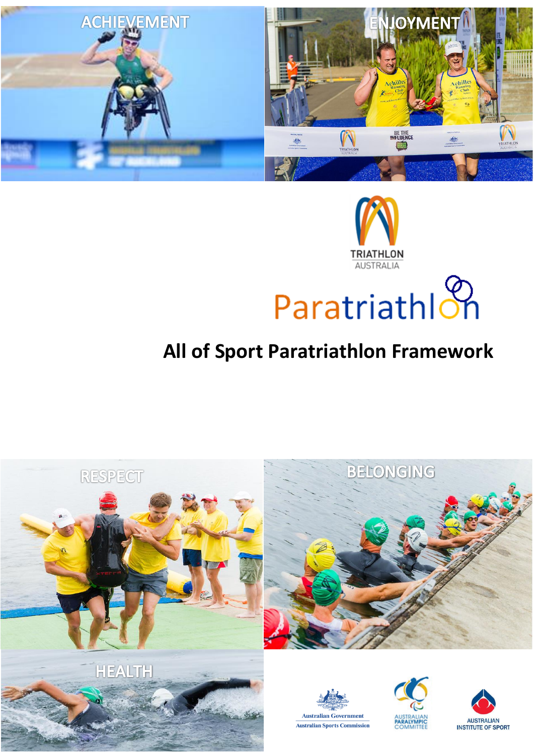



# ParatriathIon

# **All of Sport Paratriathlon Framework**

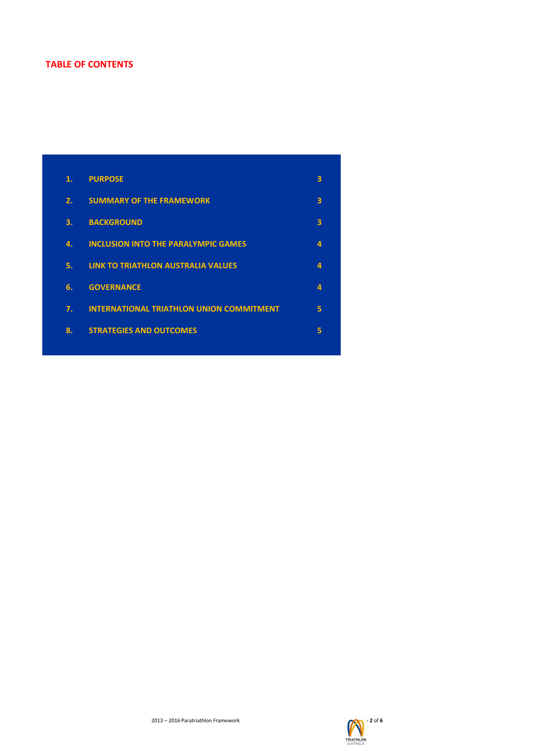# **TABLE OF CONTENTS**

| 1. | <b>PURPOSE</b>                                  | 3 |
|----|-------------------------------------------------|---|
| 2. | <b>SUMMARY OF THE FRAMEWORK</b>                 | 3 |
| 3. | <b>BACKGROUND</b>                               | 3 |
| 4. | <b>INCLUSION INTO THE PARALYMPIC GAMES</b>      | 4 |
| 5. | <b>LINK TO TRIATHLON AUSTRALIA VALUES</b>       | 4 |
| 6. | <b>GOVERNANCE</b>                               | 4 |
| 7. | <b>INTERNATIONAL TRIATHLON UNION COMMITMENT</b> | 5 |
| 8. | <b>STRATEGIES AND OUTCOMES</b>                  | 5 |
|    |                                                 |   |

2013 – 2016 Paratriathlon Framework **Page 2** of 6

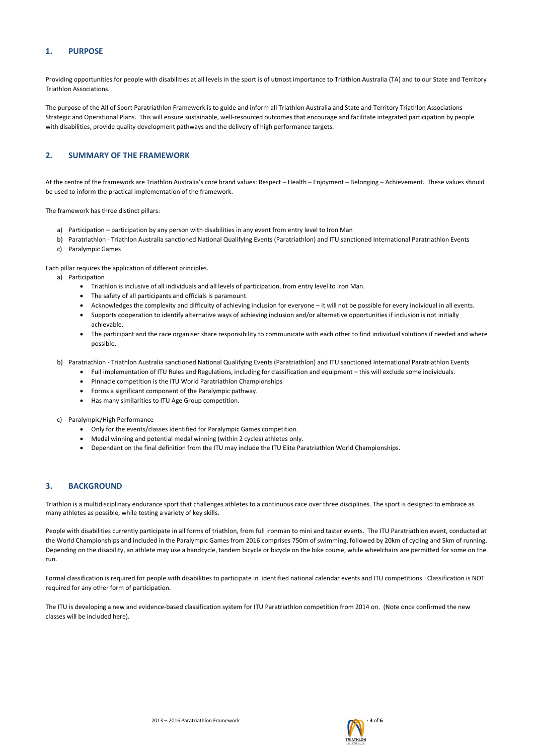2013 – 2016 Paratriathlon Framework Page **3** of **6**



# **1. PURPOSE**

Providing opportunities for people with disabilities at all levels in the sport is of utmost importance to Triathlon Australia (TA) and to our State and Territory Triathlon Associations.

The purpose of the All of Sport Paratriathlon Framework is to guide and inform all Triathlon Australia and State and Territory Triathlon Associations Strategic and Operational Plans. This will ensure sustainable, well-resourced outcomes that encourage and facilitate integrated participation by people with disabilities, provide quality development pathways and the delivery of high performance targets.

# **2. SUMMARY OF THE FRAMEWORK**

At the centre of the framework are Triathlon Australia's core brand values: Respect – Health – Enjoyment – Belonging – Achievement. These values should be used to inform the practical implementation of the framework.

The framework has three distinct pillars:

- a) Participation participation by any person with disabilities in any event from entry level to Iron Man
- b) Paratriathlon Triathlon Australia sanctioned National Qualifying Events (Paratriathlon) and ITU sanctioned International Paratriathlon Events
- c) Paralympic Games

Each pillar requires the application of different principles.

- a) Participation
	- Triathlon is inclusive of all individuals and all levels of participation, from entry level to Iron Man.
	- The safety of all participants and officials is paramount.
	- Acknowledges the complexity and difficulty of achieving inclusion for everyone it will not be possible for every individual in all events.
	- Supports cooperation to identify alternative ways of achieving inclusion and/or alternative opportunities if inclusion is not initially achievable.
	- The participant and the race organiser share responsibility to communicate with each other to find individual solutions if needed and where possible.
- b) Paratriathlon Triathlon Australia sanctioned National Qualifying Events (Paratriathlon) and ITU sanctioned International Paratriathlon Events
	- Full implementation of ITU Rules and Regulations, including for classification and equipment this will exclude some individuals.
	- Pinnacle competition is the ITU World Paratriathlon Championships
	- Forms a significant component of the Paralympic pathway.
	- Has many similarities to ITU Age Group competition.
- c) Paralympic/High Performance
	- Only for the events/classes identified for Paralympic Games competition.
	- Medal winning and potential medal winning (within 2 cycles) athletes only.
	- Dependant on the final definition from the ITU may include the ITU Elite Paratriathlon World Championships.

### **3. BACKGROUND**

Triathlon is a multidisciplinary endurance sport that challenges athletes to a continuous race over three disciplines. The sport is designed to embrace as many athletes as possible, while testing a variety of key skills.

People with disabilities currently participate in all forms of triathlon, from full ironman to mini and taster events. The ITU Paratriathlon event, conducted at the World Championships and included in the Paralympic Games from 2016 comprises 750m of swimming, followed by 20km of cycling and 5km of running. Depending on the disability, an athlete may use a handcycle, tandem bicycle or bicycle on the bike course, while wheelchairs are permitted for some on the run.

Formal classification is required for people with disabilities to participate in identified national calendar events and ITU competitions. Classification is NOT required for any other form of participation.

The ITU is developing a new and evidence-based classification system for ITU Paratriathlon competition from 2014 on. (Note once confirmed the new classes will be included here).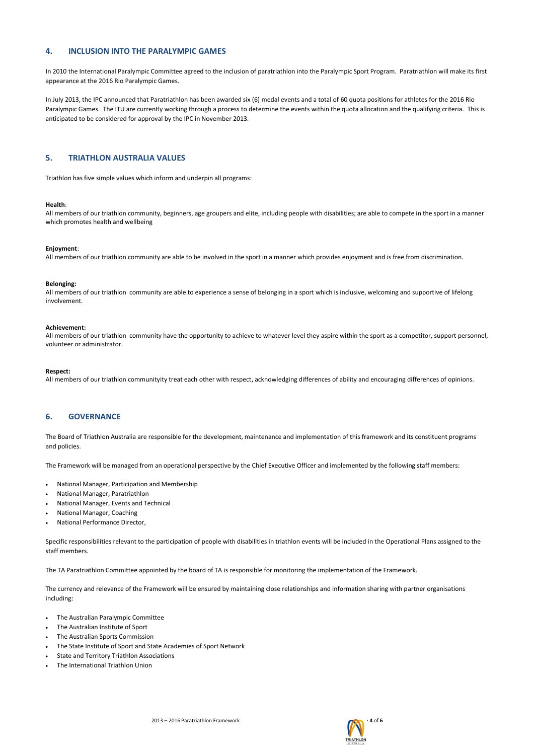2013 – 2016 Paratriathlon Framework Page **4** of **6**



# **4. INCLUSION INTO THE PARALYMPIC GAMES**

In 2010 the International Paralympic Committee agreed to the inclusion of paratriathlon into the Paralympic Sport Program. Paratriathlon will make its first appearance at the 2016 Rio Paralympic Games.

In July 2013, the IPC announced that Paratriathlon has been awarded six (6) medal events and a total of 60 quota positions for athletes for the 2016 Rio Paralympic Games. The ITU are currently working through a process to determine the events within the quota allocation and the qualifying criteria. This is anticipated to be considered for approval by the IPC in November 2013.

## **5. TRIATHLON AUSTRALIA VALUES**

Triathlon has five simple values which inform and underpin all programs:

All members of our triathlon community have the opportunity to achieve to whatever level they aspire within the sport as a competitor, support personnel, volunteer or administrator.

#### **Health**:

All members of our triathlon community, beginners, age groupers and elite, including people with disabilities; are able to compete in the sport in a manner which promotes health and wellbeing

#### **Enjoyment**:

All members of our triathlon community are able to be involved in the sport in a manner which provides enjoyment and is free from discrimination.

#### **Belonging:**

All members of our triathlon community are able to experience a sense of belonging in a sport which is inclusive, welcoming and supportive of lifelong involvement.

#### **Achievement:**

#### **Respect:**

All members of our triathlon communityity treat each other with respect, acknowledging differences of ability and encouraging differences of opinions.

#### **6. GOVERNANCE**

The Board of Triathlon Australia are responsible for the development, maintenance and implementation of this framework and its constituent programs and policies.

The Framework will be managed from an operational perspective by the Chief Executive Officer and implemented by the following staff members:

- National Manager, Participation and Membership
- National Manager, Paratriathlon
- National Manager, Events and Technical
- National Manager, Coaching
- National Performance Director,

Specific responsibilities relevant to the participation of people with disabilities in triathlon events will be included in the Operational Plans assigned to the staff members.

The TA Paratriathlon Committee appointed by the board of TA is responsible for monitoring the implementation of the Framework.

The currency and relevance of the Framework will be ensured by maintaining close relationships and information sharing with partner organisations including:

- The Australian Paralympic Committee
- The Australian Institute of Sport
- The Australian Sports Commission
- The State Institute of Sport and State Academies of Sport Network
- State and Territory Triathlon Associations
- The International Triathlon Union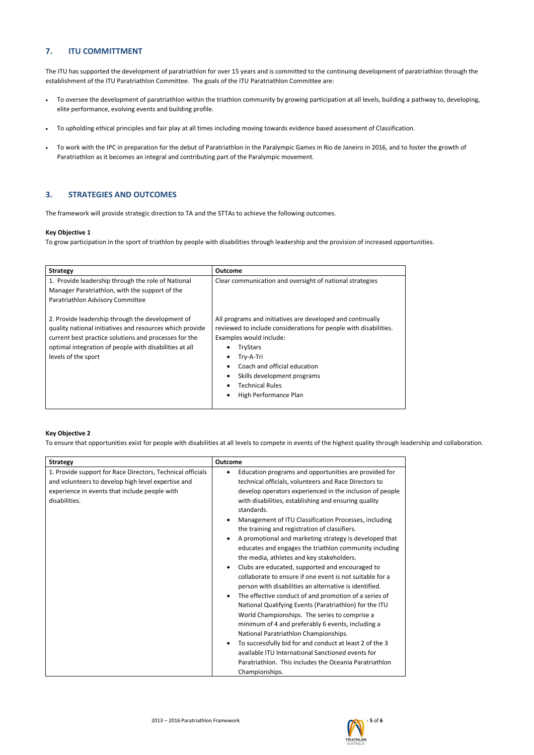2013 – 2016 Paratriathlon Framework Page **5** of **6**



# **7. ITU COMMITTMENT**

The ITU has supported the development of paratriathlon for over 15 years and is committed to the continuing development of paratriathlon through the establishment of the ITU Paratriathlon Committee. The goals of the ITU Paratriathlon Committee are:

- To oversee the development of paratriathlon within the triathlon community by growing participation at all levels, building a pathway to, developing, elite performance, evolving events and building profile.
- To upholding ethical principles and fair play at all times including moving towards evidence based assessment of Classification.
- To work with the IPC in preparation for the debut of Paratriathlon in the Paralympic Games in Rio de Janeiro in 2016, and to foster the growth of Paratriathlon as it becomes an integral and contributing part of the Paralympic movement.

# **3. STRATEGIES AND OUTCOMES**

The framework will provide strategic direction to TA and the STTAs to achieve the following outcomes.

#### **Key Objective 1**

To grow participation in the sport of triathlon by people with disabilities through leadership and the provision of increased opportunities.

| <b>Strategy</b>                                                                                                                                                                                                                                        | <b>Outcome</b>                                                                                                                                                                                                                                                                                                                                                                     |
|--------------------------------------------------------------------------------------------------------------------------------------------------------------------------------------------------------------------------------------------------------|------------------------------------------------------------------------------------------------------------------------------------------------------------------------------------------------------------------------------------------------------------------------------------------------------------------------------------------------------------------------------------|
| 1. Provide leadership through the role of National<br>Manager Paratriathlon, with the support of the<br>Paratriathlon Advisory Committee                                                                                                               | Clear communication and oversight of national strategies                                                                                                                                                                                                                                                                                                                           |
| 2. Provide leadership through the development of<br>quality national initiatives and resources which provide<br>current best practice solutions and processes for the<br>optimal integration of people with disabilities at all<br>levels of the sport | All programs and initiatives are developed and continually<br>reviewed to include considerations for people with disabilities.<br>Examples would include:<br>TryStars<br>$\bullet$<br>Try-A-Tri<br>$\bullet$<br>Coach and official education<br>$\bullet$<br>Skills development programs<br>$\bullet$<br><b>Technical Rules</b><br>$\bullet$<br>High Performance Plan<br>$\bullet$ |

#### **Key Objective 2**

To ensure that opportunities exist for people with disabilities at all levels to compete in events of the highest quality through leadership and collaboration.

| <b>Strategy</b>                                                                                                                                                                    | <b>Outcome</b>                                                                                                                                                                                                                                                                                                                                                                                                                                                                                                                                                                                                                                                                                                                                                                                                                                                                                                                                                                                                                                                                                                                                                                                                         |
|------------------------------------------------------------------------------------------------------------------------------------------------------------------------------------|------------------------------------------------------------------------------------------------------------------------------------------------------------------------------------------------------------------------------------------------------------------------------------------------------------------------------------------------------------------------------------------------------------------------------------------------------------------------------------------------------------------------------------------------------------------------------------------------------------------------------------------------------------------------------------------------------------------------------------------------------------------------------------------------------------------------------------------------------------------------------------------------------------------------------------------------------------------------------------------------------------------------------------------------------------------------------------------------------------------------------------------------------------------------------------------------------------------------|
| 1. Provide support for Race Directors, Technical officials<br>and volunteers to develop high level expertise and<br>experience in events that include people with<br>disabilities. | Education programs and opportunities are provided for<br>$\bullet$<br>technical officials, volunteers and Race Directors to<br>develop operators experienced in the inclusion of people<br>with disabilities, establishing and ensuring quality<br>standards.<br>Management of ITU Classification Processes, including<br>the training and registration of classifiers.<br>A promotional and marketing strategy is developed that<br>educates and engages the triathlon community including<br>the media, athletes and key stakeholders.<br>Clubs are educated, supported and encouraged to<br>$\bullet$<br>collaborate to ensure if one event is not suitable for a<br>person with disabilities an alternative is identified.<br>The effective conduct of and promotion of a series of<br>$\bullet$<br>National Qualifying Events (Paratriathlon) for the ITU<br>World Championships. The series to comprise a<br>minimum of 4 and preferably 6 events, including a<br>National Paratriathlon Championships.<br>To successfully bid for and conduct at least 2 of the 3<br>$\bullet$<br>available ITU International Sanctioned events for<br>Paratriathlon. This includes the Oceania Paratriathlon<br>Championships. |